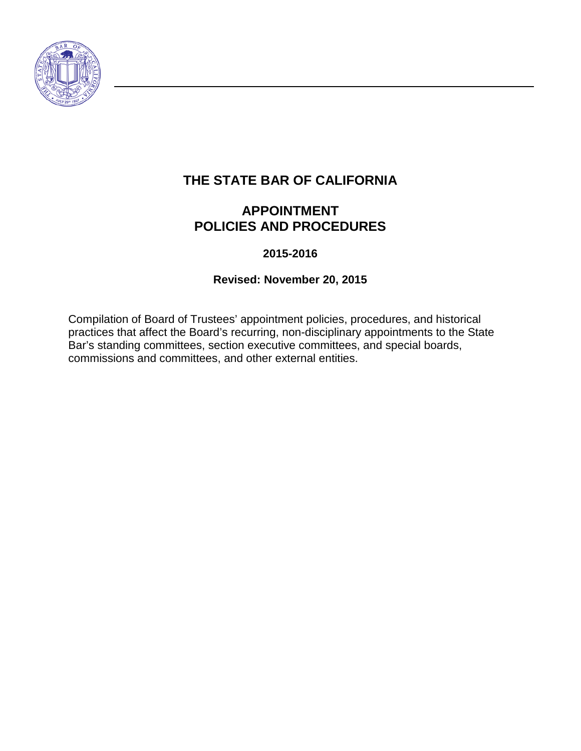

# **THE STATE BAR OF CALIFORNIA**

# **APPOINTMENT POLICIES AND PROCEDURES**

## **2015-2016**

## **Revised: November 20, 2015**

Compilation of Board of Trustees' appointment policies, procedures, and historical practices that affect the Board's recurring, non-disciplinary appointments to the State Bar's standing committees, section executive committees, and special boards, commissions and committees, and other external entities.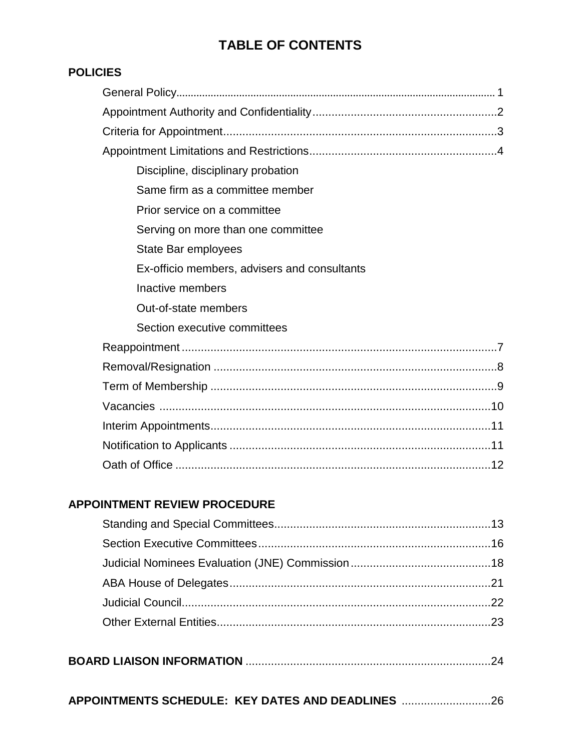# **TABLE OF CONTENTS**

## **POLICIES**

| Discipline, disciplinary probation           |
|----------------------------------------------|
| Same firm as a committee member              |
| Prior service on a committee                 |
| Serving on more than one committee           |
| State Bar employees                          |
| Ex-officio members, advisers and consultants |
| Inactive members                             |
| Out-of-state members                         |
| Section executive committees                 |
|                                              |
|                                              |
|                                              |
|                                              |
|                                              |
|                                              |
|                                              |

## **APPOINTMENT REVIEW PROCEDURE**

| APPOINTMENTS SCHEDULE: KEY DATES AND DEADLINES 26 |  |
|---------------------------------------------------|--|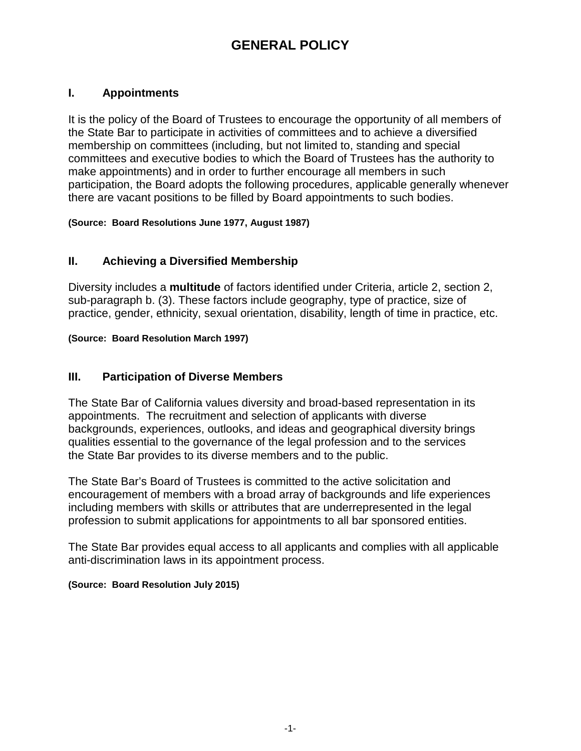# **GENERAL POLICY**

## **I. Appointments**

It is the policy of the Board of Trustees to encourage the opportunity of all members of the State Bar to participate in activities of committees and to achieve a diversified membership on committees (including, but not limited to, standing and special committees and executive bodies to which the Board of Trustees has the authority to make appointments) and in order to further encourage all members in such participation, the Board adopts the following procedures, applicable generally whenever there are vacant positions to be filled by Board appointments to such bodies.

**(Source: Board Resolutions June 1977, August 1987)**

## **II. Achieving a Diversified Membership**

Diversity includes a **multitude** of factors identified under Criteria, article 2, section 2, sub-paragraph b. (3). These factors include geography, type of practice, size of practice, gender, ethnicity, sexual orientation, disability, length of time in practice, etc.

#### **(Source: Board Resolution March 1997)**

#### **III. Participation of Diverse Members**

The State Bar of California values diversity and broad-based representation in its appointments. The recruitment and selection of applicants with diverse backgrounds, experiences, outlooks, and ideas and geographical diversity brings qualities essential to the governance of the legal profession and to the services the State Bar provides to its diverse members and to the public.

The State Bar's Board of Trustees is committed to the active solicitation and encouragement of members with a broad array of backgrounds and life experiences including members with skills or attributes that are underrepresented in the legal profession to submit applications for appointments to all bar sponsored entities.

The State Bar provides equal access to all applicants and complies with all applicable anti-discrimination laws in its appointment process.

#### **(Source: Board Resolution July 2015)**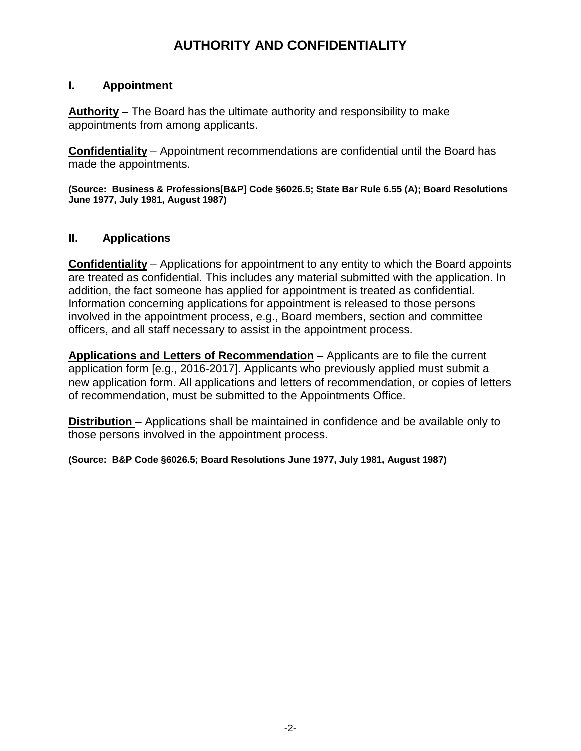# **AUTHORITY AND CONFIDENTIALITY**

#### **I. Appointment**

**Authority** – The Board has the ultimate authority and responsibility to make appointments from among applicants.

**Confidentiality** – Appointment recommendations are confidential until the Board has made the appointments.

**(Source: Business & Professions[B&P] Code §6026.5; State Bar Rule 6.55 (A); Board Resolutions June 1977, July 1981, August 1987)**

## **II. Applications**

**Confidentiality** – Applications for appointment to any entity to which the Board appoints are treated as confidential. This includes any material submitted with the application. In addition, the fact someone has applied for appointment is treated as confidential. Information concerning applications for appointment is released to those persons involved in the appointment process, e.g., Board members, section and committee officers, and all staff necessary to assist in the appointment process.

**Applications and Letters of Recommendation** – Applicants are to file the current application form [e.g., 2016-2017]. Applicants who previously applied must submit a new application form. All applications and letters of recommendation, or copies of letters of recommendation, must be submitted to the Appointments Office.

**Distribution** – Applications shall be maintained in confidence and be available only to those persons involved in the appointment process.

**(Source: B&P Code §6026.5; Board Resolutions June 1977, July 1981, August 1987)**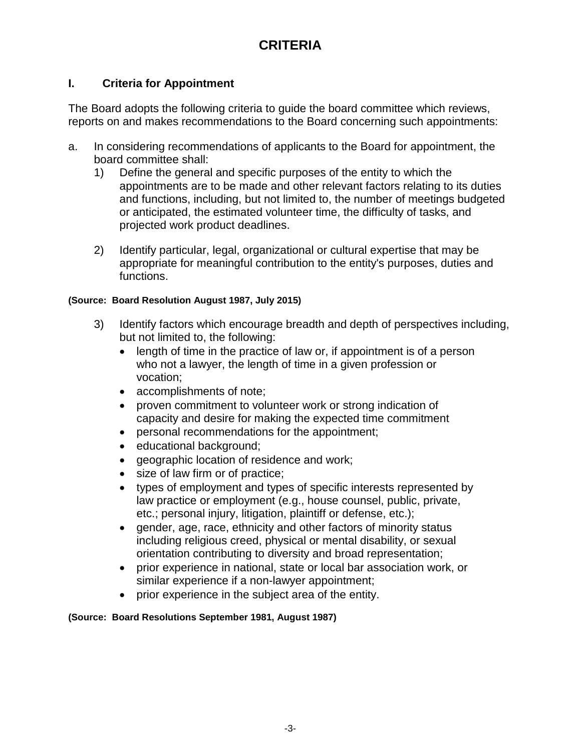# **CRITERIA**

## **I. Criteria for Appointment**

The Board adopts the following criteria to guide the board committee which reviews, reports on and makes recommendations to the Board concerning such appointments:

- a. In considering recommendations of applicants to the Board for appointment, the board committee shall:
	- 1) Define the general and specific purposes of the entity to which the appointments are to be made and other relevant factors relating to its duties and functions, including, but not limited to, the number of meetings budgeted or anticipated, the estimated volunteer time, the difficulty of tasks, and projected work product deadlines.
	- 2) Identify particular, legal, organizational or cultural expertise that may be appropriate for meaningful contribution to the entity's purposes, duties and functions.

#### **(Source: Board Resolution August 1987, July 2015)**

- 3) Identify factors which encourage breadth and depth of perspectives including, but not limited to, the following:
	- length of time in the practice of law or, if appointment is of a person who not a lawyer, the length of time in a given profession or vocation;
	- accomplishments of note;
	- proven commitment to volunteer work or strong indication of capacity and desire for making the expected time commitment
	- personal recommendations for the appointment;
	- educational background;
	- geographic location of residence and work;
	- size of law firm or of practice;
	- types of employment and types of specific interests represented by law practice or employment (e.g., house counsel, public, private, etc.; personal injury, litigation, plaintiff or defense, etc.);
	- gender, age, race, ethnicity and other factors of minority status including religious creed, physical or mental disability, or sexual orientation contributing to diversity and broad representation;
	- prior experience in national, state or local bar association work, or similar experience if a non-lawyer appointment;
	- prior experience in the subject area of the entity.

#### **(Source: Board Resolutions September 1981, August 1987)**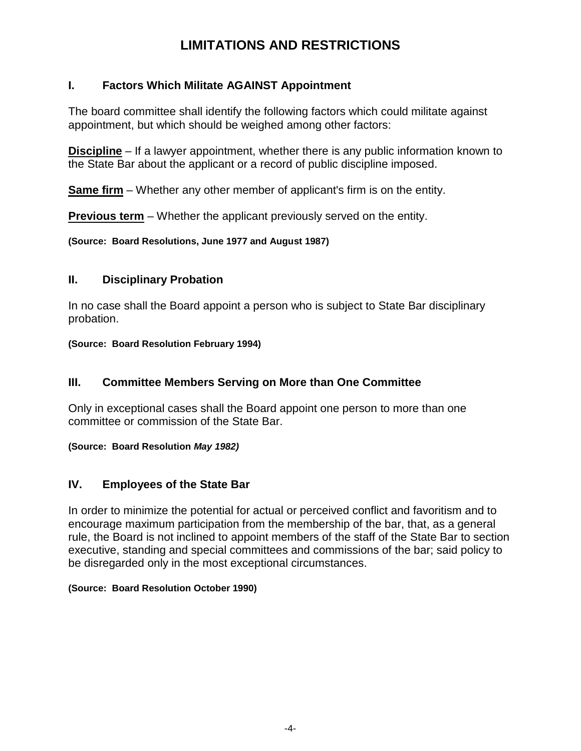# **LIMITATIONS AND RESTRICTIONS**

## **I. Factors Which Militate AGAINST Appointment**

The board committee shall identify the following factors which could militate against appointment, but which should be weighed among other factors:

**Discipline** – If a lawyer appointment, whether there is any public information known to the State Bar about the applicant or a record of public discipline imposed.

**Same firm** – Whether any other member of applicant's firm is on the entity.

**Previous term** – Whether the applicant previously served on the entity.

**(Source: Board Resolutions, June 1977 and August 1987)**

## **II. Disciplinary Probation**

In no case shall the Board appoint a person who is subject to State Bar disciplinary probation.

**(Source: Board Resolution February 1994)**

## **III. Committee Members Serving on More than One Committee**

Only in exceptional cases shall the Board appoint one person to more than one committee or commission of the State Bar.

**(Source: Board Resolution** *May 1982)*

## **IV. Employees of the State Bar**

In order to minimize the potential for actual or perceived conflict and favoritism and to encourage maximum participation from the membership of the bar, that, as a general rule, the Board is not inclined to appoint members of the staff of the State Bar to section executive, standing and special committees and commissions of the bar; said policy to be disregarded only in the most exceptional circumstances.

#### **(Source: Board Resolution October 1990)**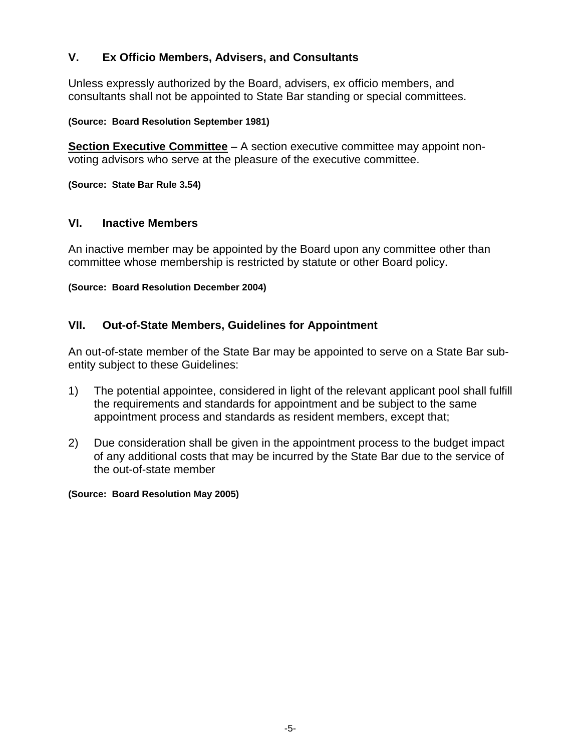## **V. Ex Officio Members, Advisers, and Consultants**

Unless expressly authorized by the Board, advisers, ex officio members, and consultants shall not be appointed to State Bar standing or special committees.

**(Source: Board Resolution September 1981)**

**Section Executive Committee** – A section executive committee may appoint nonvoting advisors who serve at the pleasure of the executive committee.

**(Source: State Bar Rule 3.54)**

#### **VI. Inactive Members**

An inactive member may be appointed by the Board upon any committee other than committee whose membership is restricted by statute or other Board policy.

**(Source: Board Resolution December 2004)**

## **VII. Out-of-State Members, Guidelines for Appointment**

An out-of-state member of the State Bar may be appointed to serve on a State Bar subentity subject to these Guidelines:

- 1) The potential appointee, considered in light of the relevant applicant pool shall fulfill the requirements and standards for appointment and be subject to the same appointment process and standards as resident members, except that;
- 2) Due consideration shall be given in the appointment process to the budget impact of any additional costs that may be incurred by the State Bar due to the service of the out-of-state member

#### **(Source: Board Resolution May 2005)**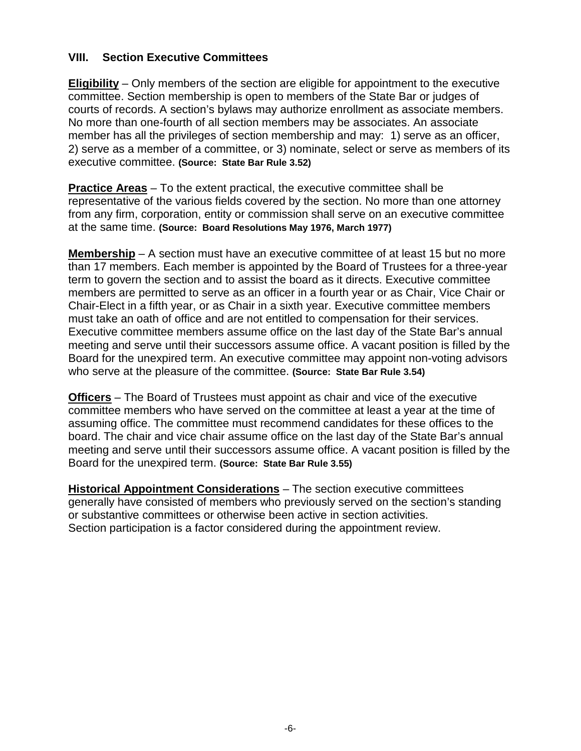## **VIII. Section Executive Committees**

**Eligibility** – Only members of the section are eligible for appointment to the executive committee. Section membership is open to members of the State Bar or judges of courts of records. A section's bylaws may authorize enrollment as associate members. No more than one-fourth of all section members may be associates. An associate member has all the privileges of section membership and may: 1) serve as an officer, 2) serve as a member of a committee, or 3) nominate, select or serve as members of its executive committee. **(Source: State Bar Rule 3.52)**

**Practice Areas** – To the extent practical, the executive committee shall be representative of the various fields covered by the section. No more than one attorney from any firm, corporation, entity or commission shall serve on an executive committee at the same time. **(Source: Board Resolutions May 1976, March 1977)**

**Membership** – A section must have an executive committee of at least 15 but no more than 17 members. Each member is appointed by the Board of Trustees for a three-year term to govern the section and to assist the board as it directs. Executive committee members are permitted to serve as an officer in a fourth year or as Chair, Vice Chair or Chair-Elect in a fifth year, or as Chair in a sixth year. Executive committee members must take an oath of office and are not entitled to compensation for their services. Executive committee members assume office on the last day of the State Bar's annual meeting and serve until their successors assume office. A vacant position is filled by the Board for the unexpired term. An executive committee may appoint non-voting advisors who serve at the pleasure of the committee. **(Source: State Bar Rule 3.54)**

**Officers** – The Board of Trustees must appoint as chair and vice of the executive committee members who have served on the committee at least a year at the time of assuming office. The committee must recommend candidates for these offices to the board. The chair and vice chair assume office on the last day of the State Bar's annual meeting and serve until their successors assume office. A vacant position is filled by the Board for the unexpired term. **(Source: State Bar Rule 3.55)**

**Historical Appointment Considerations** – The section executive committees generally have consisted of members who previously served on the section's standing or substantive committees or otherwise been active in section activities. Section participation is a factor considered during the appointment review.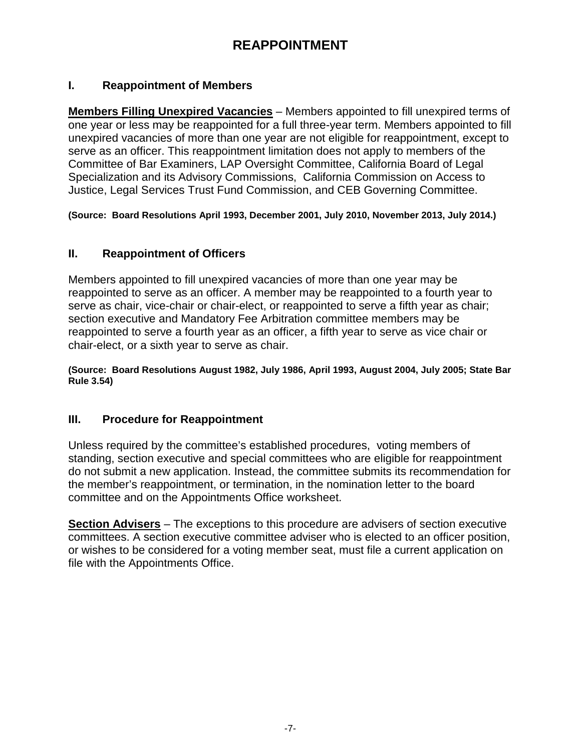# **REAPPOINTMENT**

## **I. Reappointment of Members**

**Members Filling Unexpired Vacancies** – Members appointed to fill unexpired terms of one year or less may be reappointed for a full three-year term. Members appointed to fill unexpired vacancies of more than one year are not eligible for reappointment, except to serve as an officer. This reappointment limitation does not apply to members of the Committee of Bar Examiners, LAP Oversight Committee, California Board of Legal Specialization and its Advisory Commissions, California Commission on Access to Justice, Legal Services Trust Fund Commission, and CEB Governing Committee.

**(Source: Board Resolutions April 1993, December 2001, July 2010, November 2013, July 2014.)** 

## **II. Reappointment of Officers**

Members appointed to fill unexpired vacancies of more than one year may be reappointed to serve as an officer. A member may be reappointed to a fourth year to serve as chair, vice-chair or chair-elect, or reappointed to serve a fifth year as chair; section executive and Mandatory Fee Arbitration committee members may be reappointed to serve a fourth year as an officer, a fifth year to serve as vice chair or chair-elect, or a sixth year to serve as chair.

**(Source: Board Resolutions August 1982, July 1986, April 1993, August 2004, July 2005; State Bar Rule 3.54)**

### **III. Procedure for Reappointment**

Unless required by the committee's established procedures, voting members of standing, section executive and special committees who are eligible for reappointment do not submit a new application. Instead, the committee submits its recommendation for the member's reappointment, or termination, in the nomination letter to the board committee and on the Appointments Office worksheet.

**Section Advisers** – The exceptions to this procedure are advisers of section executive committees. A section executive committee adviser who is elected to an officer position, or wishes to be considered for a voting member seat, must file a current application on file with the Appointments Office.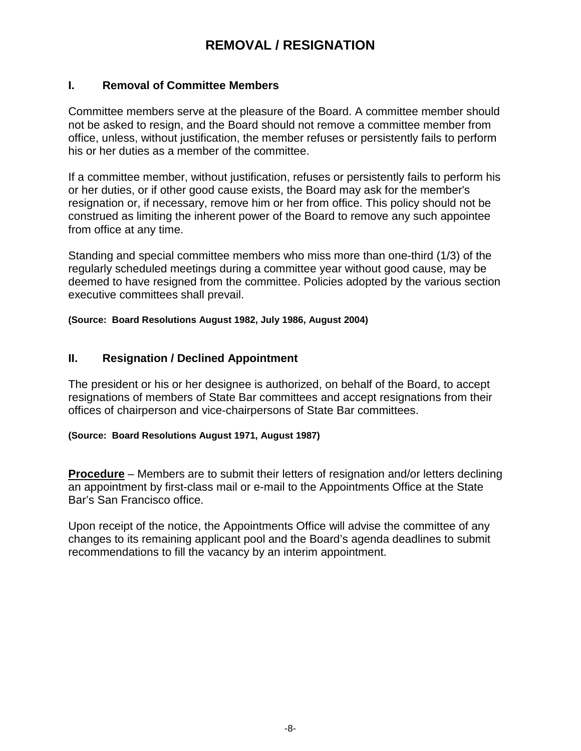# **REMOVAL / RESIGNATION**

#### **I. Removal of Committee Members**

Committee members serve at the pleasure of the Board. A committee member should not be asked to resign, and the Board should not remove a committee member from office, unless, without justification, the member refuses or persistently fails to perform his or her duties as a member of the committee.

If a committee member, without justification, refuses or persistently fails to perform his or her duties, or if other good cause exists, the Board may ask for the member's resignation or, if necessary, remove him or her from office. This policy should not be construed as limiting the inherent power of the Board to remove any such appointee from office at any time.

Standing and special committee members who miss more than one-third (1/3) of the regularly scheduled meetings during a committee year without good cause, may be deemed to have resigned from the committee. Policies adopted by the various section executive committees shall prevail.

**(Source: Board Resolutions August 1982, July 1986, August 2004)**

#### **II. Resignation / Declined Appointment**

The president or his or her designee is authorized, on behalf of the Board, to accept resignations of members of State Bar committees and accept resignations from their offices of chairperson and vice-chairpersons of State Bar committees.

#### **(Source: Board Resolutions August 1971, August 1987)**

**Procedure** – Members are to submit their letters of resignation and/or letters declining an appointment by first-class mail or e-mail to the Appointments Office at the State Bar's San Francisco office.

Upon receipt of the notice, the Appointments Office will advise the committee of any changes to its remaining applicant pool and the Board's agenda deadlines to submit recommendations to fill the vacancy by an interim appointment.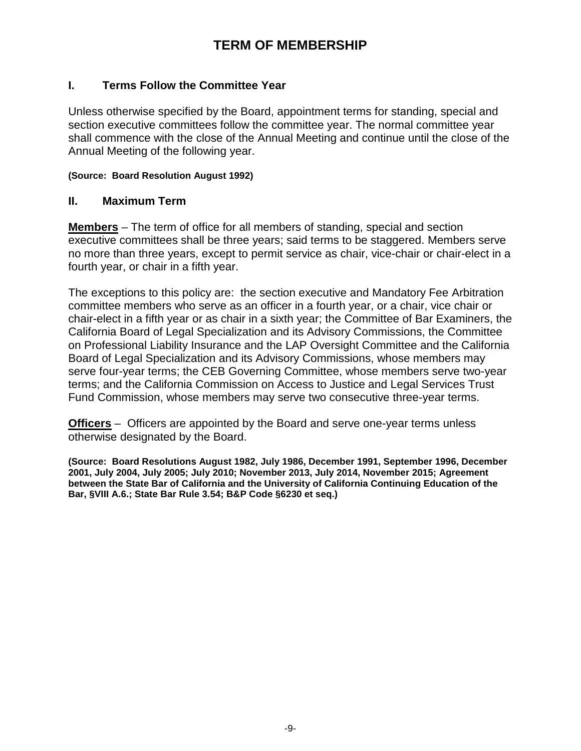# **TERM OF MEMBERSHIP**

### **I. Terms Follow the Committee Year**

Unless otherwise specified by the Board, appointment terms for standing, special and section executive committees follow the committee year. The normal committee year shall commence with the close of the Annual Meeting and continue until the close of the Annual Meeting of the following year.

#### **(Source: Board Resolution August 1992)**

#### **II. Maximum Term**

**Members** – The term of office for all members of standing, special and section executive committees shall be three years; said terms to be staggered. Members serve no more than three years, except to permit service as chair, vice-chair or chair-elect in a fourth year, or chair in a fifth year.

The exceptions to this policy are: the section executive and Mandatory Fee Arbitration committee members who serve as an officer in a fourth year, or a chair, vice chair or chair-elect in a fifth year or as chair in a sixth year; the Committee of Bar Examiners, the California Board of Legal Specialization and its Advisory Commissions, the Committee on Professional Liability Insurance and the LAP Oversight Committee and the California Board of Legal Specialization and its Advisory Commissions, whose members may serve four-year terms; the CEB Governing Committee, whose members serve two-year terms; and the California Commission on Access to Justice and Legal Services Trust Fund Commission, whose members may serve two consecutive three-year terms.

**Officers** – Officers are appointed by the Board and serve one-year terms unless otherwise designated by the Board.

**(Source: Board Resolutions August 1982, July 1986, December 1991, September 1996, December 2001, July 2004, July 2005; July 2010; November 2013, July 2014, November 2015; Agreement between the State Bar of California and the University of California Continuing Education of the Bar, §VIII A.6.; State Bar Rule 3.54; B&P Code §6230 et seq.)**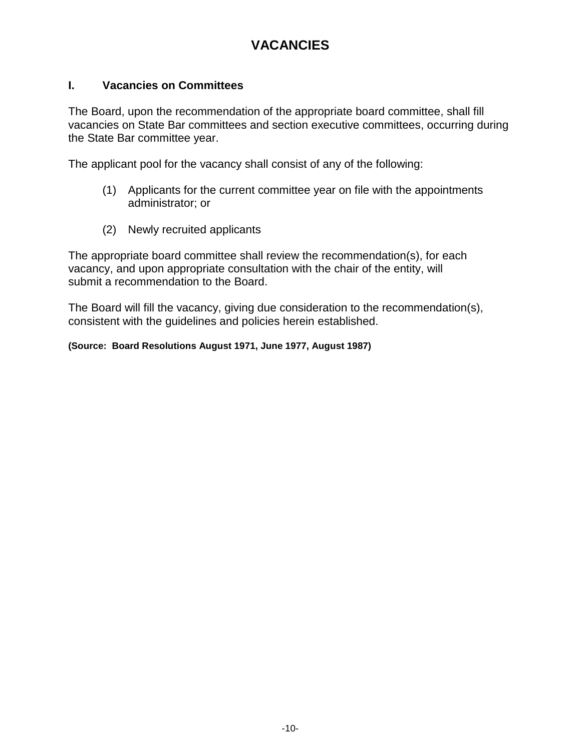# **VACANCIES**

### **I. Vacancies on Committees**

The Board, upon the recommendation of the appropriate board committee, shall fill vacancies on State Bar committees and section executive committees, occurring during the State Bar committee year.

The applicant pool for the vacancy shall consist of any of the following:

- (1) Applicants for the current committee year on file with the appointments administrator; or
- (2) Newly recruited applicants

The appropriate board committee shall review the recommendation(s), for each vacancy, and upon appropriate consultation with the chair of the entity, will submit a recommendation to the Board.

The Board will fill the vacancy, giving due consideration to the recommendation(s), consistent with the guidelines and policies herein established.

**(Source: Board Resolutions August 1971, June 1977, August 1987)**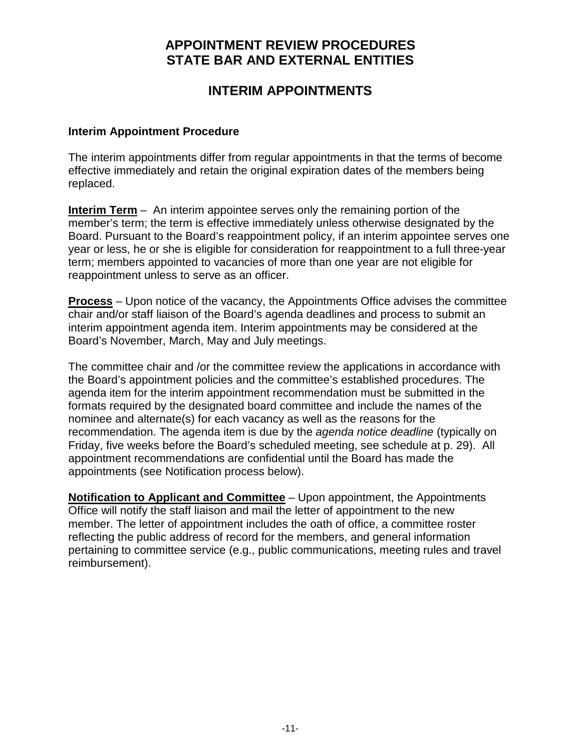## **APPOINTMENT REVIEW PROCEDURES STATE BAR AND EXTERNAL ENTITIES**

## **INTERIM APPOINTMENTS**

#### **Interim Appointment Procedure**

The interim appointments differ from regular appointments in that the terms of become effective immediately and retain the original expiration dates of the members being replaced.

**Interim Term** – An interim appointee serves only the remaining portion of the member's term; the term is effective immediately unless otherwise designated by the Board. Pursuant to the Board's reappointment policy, if an interim appointee serves one year or less, he or she is eligible for consideration for reappointment to a full three-year term; members appointed to vacancies of more than one year are not eligible for reappointment unless to serve as an officer.

**Process** – Upon notice of the vacancy, the Appointments Office advises the committee chair and/or staff liaison of the Board's agenda deadlines and process to submit an interim appointment agenda item. Interim appointments may be considered at the Board's November, March, May and July meetings.

The committee chair and /or the committee review the applications in accordance with the Board's appointment policies and the committee's established procedures. The agenda item for the interim appointment recommendation must be submitted in the formats required by the designated board committee and include the names of the nominee and alternate(s) for each vacancy as well as the reasons for the recommendation. The agenda item is due by the *agenda notice deadline* (typically on Friday, five weeks before the Board's scheduled meeting, see schedule at p. 29). All appointment recommendations are confidential until the Board has made the appointments (see Notification process below).

**Notification to Applicant and Committee** – Upon appointment, the Appointments Office will notify the staff liaison and mail the letter of appointment to the new member. The letter of appointment includes the oath of office, a committee roster reflecting the public address of record for the members, and general information pertaining to committee service (e.g., public communications, meeting rules and travel reimbursement).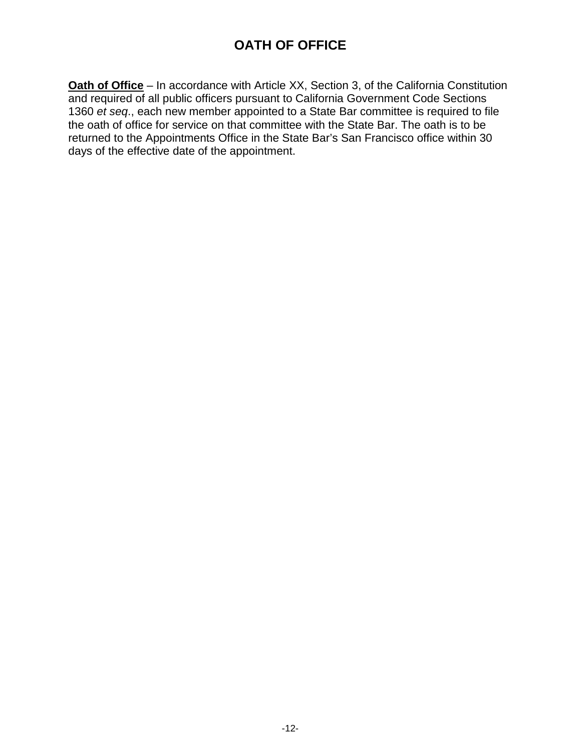# **OATH OF OFFICE**

**Oath of Office** – In accordance with Article XX, Section 3, of the California Constitution and required of all public officers pursuant to California Government Code Sections 1360 *et seq*., each new member appointed to a State Bar committee is required to file the oath of office for service on that committee with the State Bar. The oath is to be returned to the Appointments Office in the State Bar's San Francisco office within 30 days of the effective date of the appointment.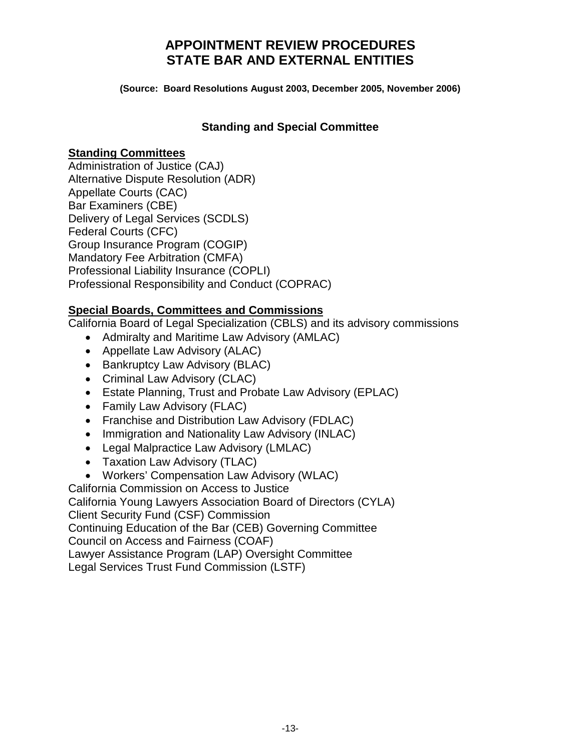## **APPOINTMENT REVIEW PROCEDURES STATE BAR AND EXTERNAL ENTITIES**

**(Source: Board Resolutions August 2003, December 2005, November 2006)**

## **Standing and Special Committee**

### **Standing Committees**

Administration of Justice (CAJ) Alternative Dispute Resolution (ADR) Appellate Courts (CAC) Bar Examiners (CBE) Delivery of Legal Services (SCDLS) Federal Courts (CFC) Group Insurance Program (COGIP) Mandatory Fee Arbitration (CMFA) Professional Liability Insurance (COPLI) Professional Responsibility and Conduct (COPRAC)

## **Special Boards, Committees and Commissions**

California Board of Legal Specialization (CBLS) and its advisory commissions

- Admiralty and Maritime Law Advisory (AMLAC)
- Appellate Law Advisory (ALAC)
- Bankruptcy Law Advisory (BLAC)
- Criminal Law Advisory (CLAC)
- Estate Planning, Trust and Probate Law Advisory (EPLAC)
- Family Law Advisory (FLAC)
- Franchise and Distribution Law Advisory (FDLAC)
- Immigration and Nationality Law Advisory (INLAC)
- Legal Malpractice Law Advisory (LMLAC)
- Taxation Law Advisory (TLAC)
- Workers' Compensation Law Advisory (WLAC)

California Commission on Access to Justice

California Young Lawyers Association Board of Directors (CYLA)

Client Security Fund (CSF) Commission

Continuing Education of the Bar (CEB) Governing Committee

Council on Access and Fairness (COAF)

Lawyer Assistance Program (LAP) Oversight Committee

Legal Services Trust Fund Commission (LSTF)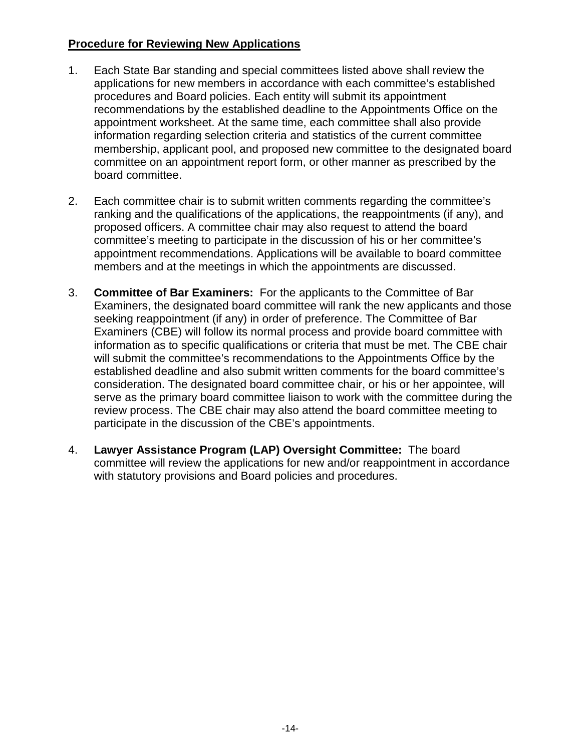### **Procedure for Reviewing New Applications**

- 1. Each State Bar standing and special committees listed above shall review the applications for new members in accordance with each committee's established procedures and Board policies. Each entity will submit its appointment recommendations by the established deadline to the Appointments Office on the appointment worksheet. At the same time, each committee shall also provide information regarding selection criteria and statistics of the current committee membership, applicant pool, and proposed new committee to the designated board committee on an appointment report form, or other manner as prescribed by the board committee.
- 2. Each committee chair is to submit written comments regarding the committee's ranking and the qualifications of the applications, the reappointments (if any), and proposed officers. A committee chair may also request to attend the board committee's meeting to participate in the discussion of his or her committee's appointment recommendations. Applications will be available to board committee members and at the meetings in which the appointments are discussed.
- 3. **Committee of Bar Examiners:** For the applicants to the Committee of Bar Examiners, the designated board committee will rank the new applicants and those seeking reappointment (if any) in order of preference. The Committee of Bar Examiners (CBE) will follow its normal process and provide board committee with information as to specific qualifications or criteria that must be met. The CBE chair will submit the committee's recommendations to the Appointments Office by the established deadline and also submit written comments for the board committee's consideration. The designated board committee chair, or his or her appointee, will serve as the primary board committee liaison to work with the committee during the review process. The CBE chair may also attend the board committee meeting to participate in the discussion of the CBE's appointments.
- 4. **Lawyer Assistance Program (LAP) Oversight Committee:** The board committee will review the applications for new and/or reappointment in accordance with statutory provisions and Board policies and procedures.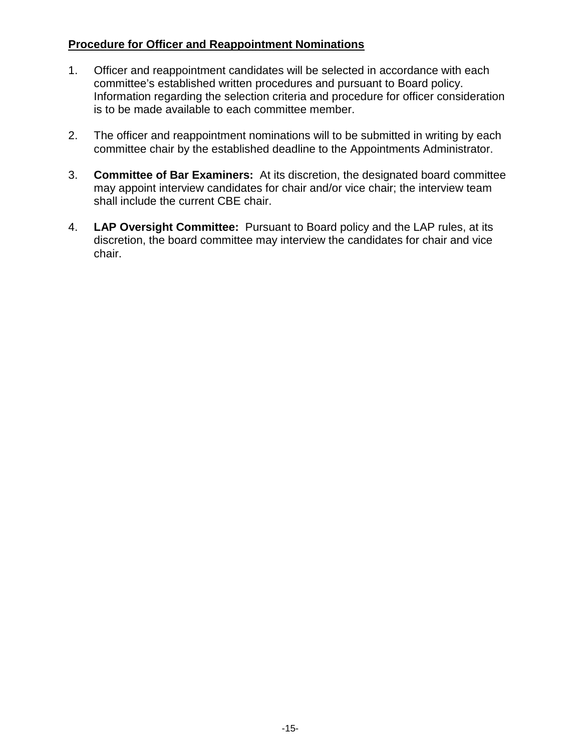## **Procedure for Officer and Reappointment Nominations**

- 1. Officer and reappointment candidates will be selected in accordance with each committee's established written procedures and pursuant to Board policy. Information regarding the selection criteria and procedure for officer consideration is to be made available to each committee member.
- 2. The officer and reappointment nominations will to be submitted in writing by each committee chair by the established deadline to the Appointments Administrator.
- 3. **Committee of Bar Examiners:** At its discretion, the designated board committee may appoint interview candidates for chair and/or vice chair; the interview team shall include the current CBE chair.
- 4. **LAP Oversight Committee:**Pursuant to Board policy and the LAP rules, at its discretion, the board committee may interview the candidates for chair and vice chair.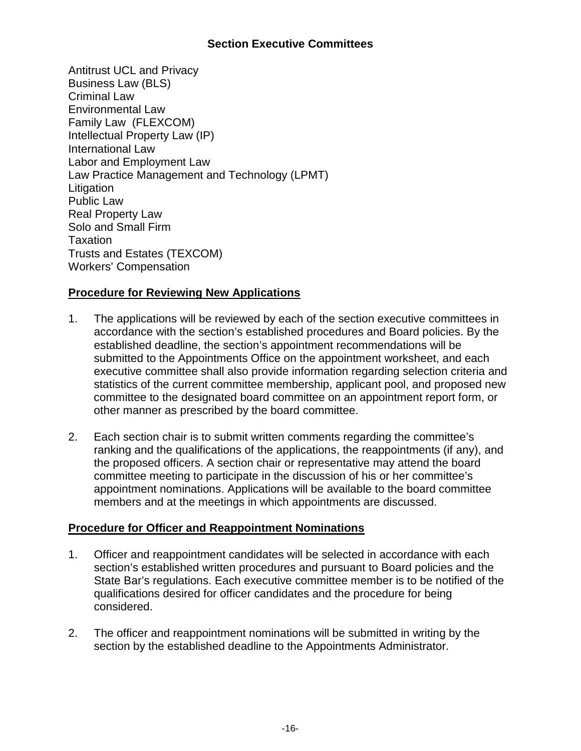## **Section Executive Committees**

Antitrust UCL and Privacy Business Law (BLS) Criminal Law Environmental Law Family Law (FLEXCOM) Intellectual Property Law (IP) International Law Labor and Employment Law Law Practice Management and Technology (LPMT) **Litigation** Public Law Real Property Law Solo and Small Firm Taxation Trusts and Estates (TEXCOM) Workers' Compensation

## **Procedure for Reviewing New Applications**

- 1. The applications will be reviewed by each of the section executive committees in accordance with the section's established procedures and Board policies. By the established deadline, the section's appointment recommendations will be submitted to the Appointments Office on the appointment worksheet, and each executive committee shall also provide information regarding selection criteria and statistics of the current committee membership, applicant pool, and proposed new committee to the designated board committee on an appointment report form, or other manner as prescribed by the board committee.
- 2. Each section chair is to submit written comments regarding the committee's ranking and the qualifications of the applications, the reappointments (if any), and the proposed officers. A section chair or representative may attend the board committee meeting to participate in the discussion of his or her committee's appointment nominations. Applications will be available to the board committee members and at the meetings in which appointments are discussed.

## **Procedure for Officer and Reappointment Nominations**

- 1. Officer and reappointment candidates will be selected in accordance with each section's established written procedures and pursuant to Board policies and the State Bar's regulations. Each executive committee member is to be notified of the qualifications desired for officer candidates and the procedure for being considered.
- 2. The officer and reappointment nominations will be submitted in writing by the section by the established deadline to the Appointments Administrator.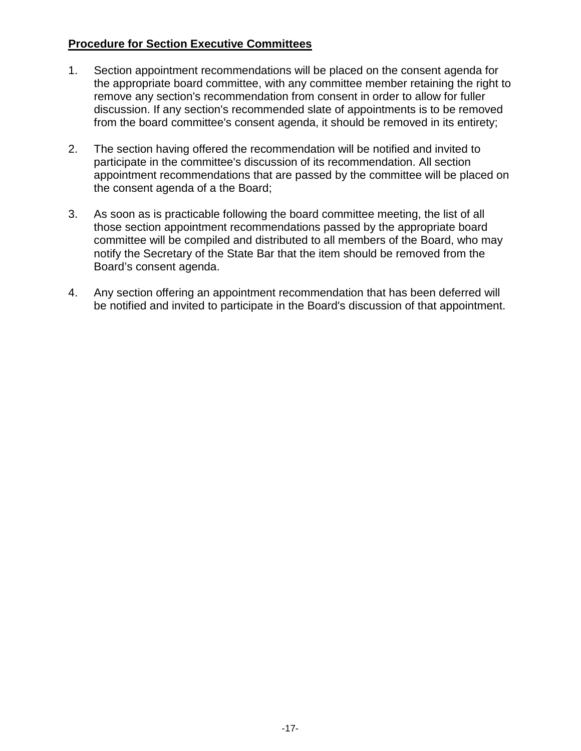## **Procedure for Section Executive Committees**

- 1. Section appointment recommendations will be placed on the consent agenda for the appropriate board committee, with any committee member retaining the right to remove any section's recommendation from consent in order to allow for fuller discussion. If any section's recommended slate of appointments is to be removed from the board committee's consent agenda, it should be removed in its entirety;
- 2. The section having offered the recommendation will be notified and invited to participate in the committee's discussion of its recommendation. All section appointment recommendations that are passed by the committee will be placed on the consent agenda of a the Board;
- 3. As soon as is practicable following the board committee meeting, the list of all those section appointment recommendations passed by the appropriate board committee will be compiled and distributed to all members of the Board, who may notify the Secretary of the State Bar that the item should be removed from the Board's consent agenda.
- 4. Any section offering an appointment recommendation that has been deferred will be notified and invited to participate in the Board's discussion of that appointment.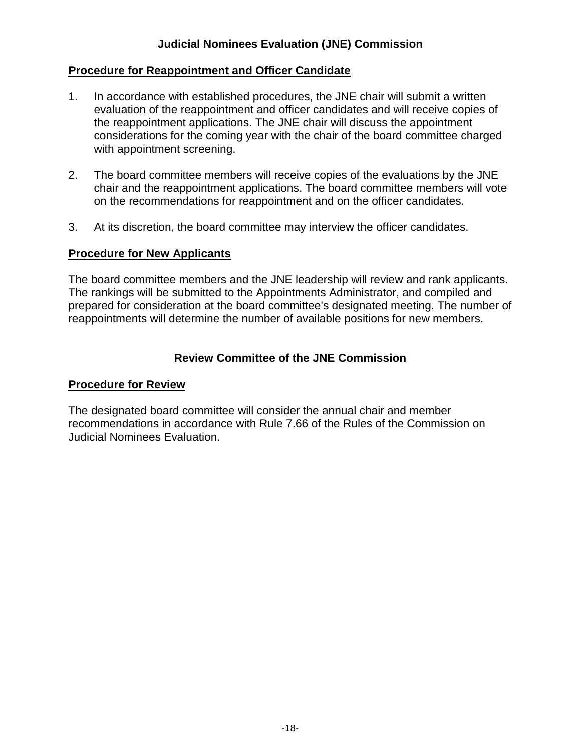## **Judicial Nominees Evaluation (JNE) Commission**

### **Procedure for Reappointment and Officer Candidate**

- 1. In accordance with established procedures, the JNE chair will submit a written evaluation of the reappointment and officer candidates and will receive copies of the reappointment applications. The JNE chair will discuss the appointment considerations for the coming year with the chair of the board committee charged with appointment screening.
- 2. The board committee members will receive copies of the evaluations by the JNE chair and the reappointment applications. The board committee members will vote on the recommendations for reappointment and on the officer candidates.
- 3. At its discretion, the board committee may interview the officer candidates.

#### **Procedure for New Applicants**

The board committee members and the JNE leadership will review and rank applicants. The rankings will be submitted to the Appointments Administrator, and compiled and prepared for consideration at the board committee's designated meeting. The number of reappointments will determine the number of available positions for new members.

## **Review Committee of the JNE Commission**

#### **Procedure for Review**

The designated board committee will consider the annual chair and member recommendations in accordance with Rule 7.66 of the Rules of the Commission on Judicial Nominees Evaluation.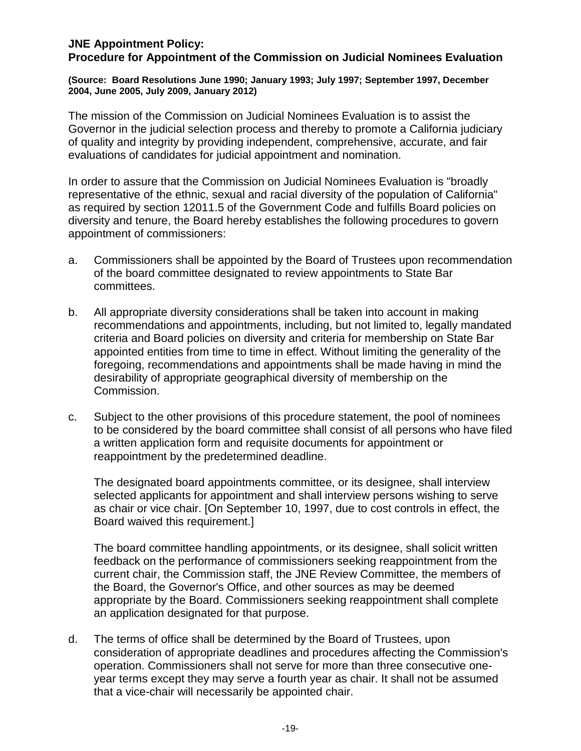## **JNE Appointment Policy:**

**Procedure for Appointment of the Commission on Judicial Nominees Evaluation** 

**(Source: Board Resolutions June 1990; January 1993; July 1997; September 1997, December 2004, June 2005, July 2009, January 2012)**

The mission of the Commission on Judicial Nominees Evaluation is to assist the Governor in the judicial selection process and thereby to promote a California judiciary of quality and integrity by providing independent, comprehensive, accurate, and fair evaluations of candidates for judicial appointment and nomination.

In order to assure that the Commission on Judicial Nominees Evaluation is "broadly representative of the ethnic, sexual and racial diversity of the population of California" as required by section 12011.5 of the Government Code and fulfills Board policies on diversity and tenure, the Board hereby establishes the following procedures to govern appointment of commissioners:

- a. Commissioners shall be appointed by the Board of Trustees upon recommendation of the board committee designated to review appointments to State Bar committees.
- b. All appropriate diversity considerations shall be taken into account in making recommendations and appointments, including, but not limited to, legally mandated criteria and Board policies on diversity and criteria for membership on State Bar appointed entities from time to time in effect. Without limiting the generality of the foregoing, recommendations and appointments shall be made having in mind the desirability of appropriate geographical diversity of membership on the Commission.
- c. Subject to the other provisions of this procedure statement, the pool of nominees to be considered by the board committee shall consist of all persons who have filed a written application form and requisite documents for appointment or reappointment by the predetermined deadline.

The designated board appointments committee, or its designee, shall interview selected applicants for appointment and shall interview persons wishing to serve as chair or vice chair. [On September 10, 1997, due to cost controls in effect, the Board waived this requirement.]

The board committee handling appointments, or its designee, shall solicit written feedback on the performance of commissioners seeking reappointment from the current chair, the Commission staff, the JNE Review Committee, the members of the Board, the Governor's Office, and other sources as may be deemed appropriate by the Board. Commissioners seeking reappointment shall complete an application designated for that purpose.

d. The terms of office shall be determined by the Board of Trustees, upon consideration of appropriate deadlines and procedures affecting the Commission's operation. Commissioners shall not serve for more than three consecutive oneyear terms except they may serve a fourth year as chair. It shall not be assumed that a vice-chair will necessarily be appointed chair.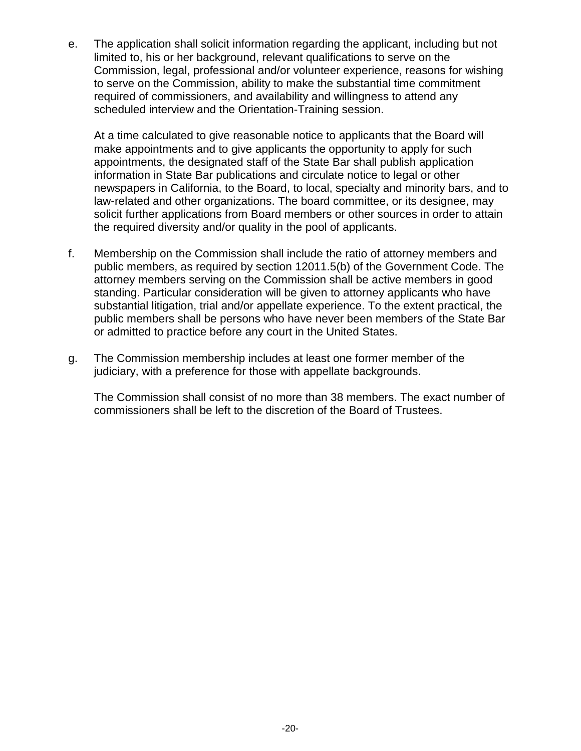e. The application shall solicit information regarding the applicant, including but not limited to, his or her background, relevant qualifications to serve on the Commission, legal, professional and/or volunteer experience, reasons for wishing to serve on the Commission, ability to make the substantial time commitment required of commissioners, and availability and willingness to attend any scheduled interview and the Orientation-Training session.

At a time calculated to give reasonable notice to applicants that the Board will make appointments and to give applicants the opportunity to apply for such appointments, the designated staff of the State Bar shall publish application information in State Bar publications and circulate notice to legal or other newspapers in California, to the Board, to local, specialty and minority bars, and to law-related and other organizations. The board committee, or its designee, may solicit further applications from Board members or other sources in order to attain the required diversity and/or quality in the pool of applicants.

- f. Membership on the Commission shall include the ratio of attorney members and public members, as required by section 12011.5(b) of the Government Code. The attorney members serving on the Commission shall be active members in good standing. Particular consideration will be given to attorney applicants who have substantial litigation, trial and/or appellate experience. To the extent practical, the public members shall be persons who have never been members of the State Bar or admitted to practice before any court in the United States.
- g. The Commission membership includes at least one former member of the judiciary, with a preference for those with appellate backgrounds.

The Commission shall consist of no more than 38 members. The exact number of commissioners shall be left to the discretion of the Board of Trustees.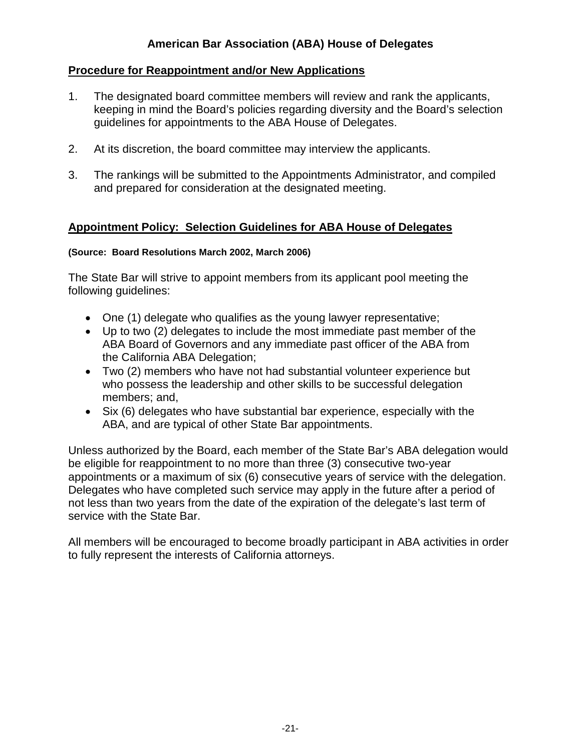## **American Bar Association (ABA) House of Delegates**

## **Procedure for Reappointment and/or New Applications**

- 1. The designated board committee members will review and rank the applicants, keeping in mind the Board's policies regarding diversity and the Board's selection guidelines for appointments to the ABA House of Delegates.
- 2. At its discretion, the board committee may interview the applicants.
- 3. The rankings will be submitted to the Appointments Administrator, and compiled and prepared for consideration at the designated meeting.

#### **Appointment Policy: Selection Guidelines for ABA House of Delegates**

#### **(Source: Board Resolutions March 2002, March 2006)**

The State Bar will strive to appoint members from its applicant pool meeting the following guidelines:

- One (1) delegate who qualifies as the young lawyer representative;
- Up to two (2) delegates to include the most immediate past member of the ABA Board of Governors and any immediate past officer of the ABA from the California ABA Delegation;
- Two (2) members who have not had substantial volunteer experience but who possess the leadership and other skills to be successful delegation members; and,
- Six (6) delegates who have substantial bar experience, especially with the ABA, and are typical of other State Bar appointments.

Unless authorized by the Board, each member of the State Bar's ABA delegation would be eligible for reappointment to no more than three (3) consecutive two-year appointments or a maximum of six (6) consecutive years of service with the delegation. Delegates who have completed such service may apply in the future after a period of not less than two years from the date of the expiration of the delegate's last term of service with the State Bar.

All members will be encouraged to become broadly participant in ABA activities in order to fully represent the interests of California attorneys.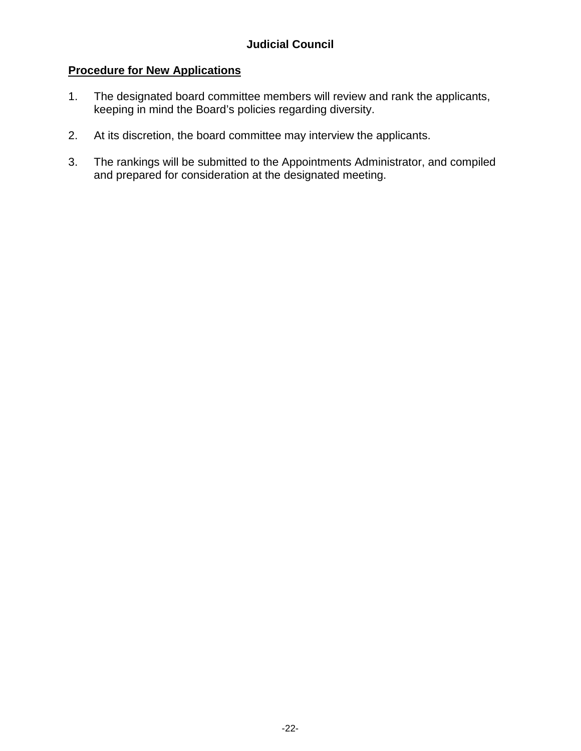## **Procedure for New Applications**

- 1. The designated board committee members will review and rank the applicants, keeping in mind the Board's policies regarding diversity.
- 2. At its discretion, the board committee may interview the applicants.
- 3. The rankings will be submitted to the Appointments Administrator, and compiled and prepared for consideration at the designated meeting.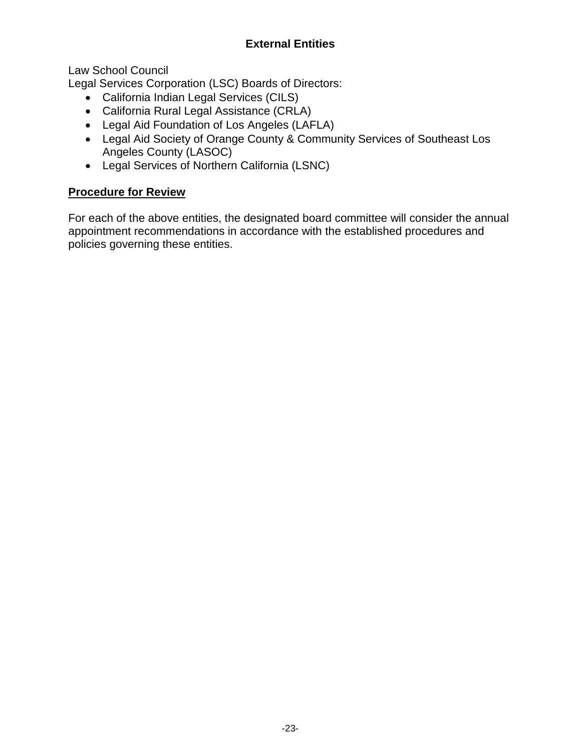## **External Entities**

Law School Council

Legal Services Corporation (LSC) Boards of Directors:

- California Indian Legal Services (CILS)
- California Rural Legal Assistance (CRLA)
- Legal Aid Foundation of Los Angeles (LAFLA)
- Legal Aid Society of Orange County & Community Services of Southeast Los Angeles County (LASOC)
- Legal Services of Northern California (LSNC)

## **Procedure for Review**

For each of the above entities, the designated board committee will consider the annual appointment recommendations in accordance with the established procedures and policies governing these entities.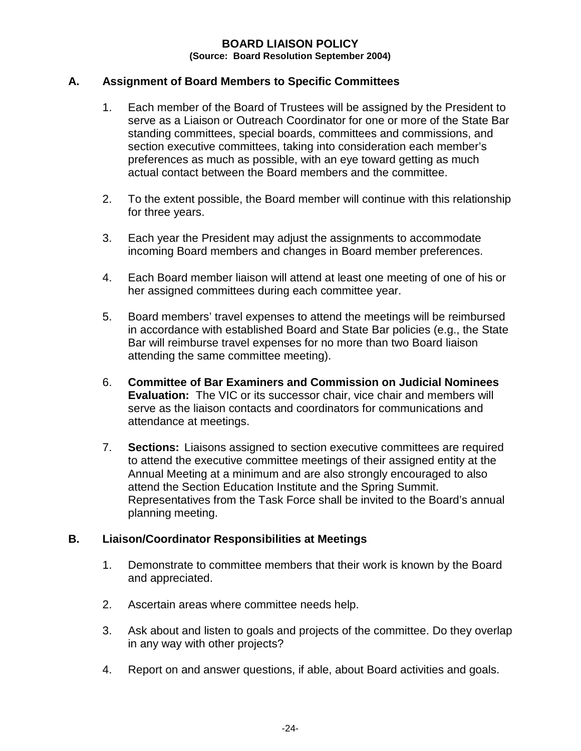#### **BOARD LIAISON POLICY (Source: Board Resolution September 2004)**

#### **A. Assignment of Board Members to Specific Committees**

- 1. Each member of the Board of Trustees will be assigned by the President to serve as a Liaison or Outreach Coordinator for one or more of the State Bar standing committees, special boards, committees and commissions, and section executive committees, taking into consideration each member's preferences as much as possible, with an eye toward getting as much actual contact between the Board members and the committee.
- 2. To the extent possible, the Board member will continue with this relationship for three years.
- 3. Each year the President may adjust the assignments to accommodate incoming Board members and changes in Board member preferences.
- 4. Each Board member liaison will attend at least one meeting of one of his or her assigned committees during each committee year.
- 5. Board members' travel expenses to attend the meetings will be reimbursed in accordance with established Board and State Bar policies (e.g., the State Bar will reimburse travel expenses for no more than two Board liaison attending the same committee meeting).
- 6. **Committee of Bar Examiners and Commission on Judicial Nominees Evaluation:** The VIC or its successor chair, vice chair and members will serve as the liaison contacts and coordinators for communications and attendance at meetings.
- 7. **Sections:** Liaisons assigned to section executive committees are required to attend the executive committee meetings of their assigned entity at the Annual Meeting at a minimum and are also strongly encouraged to also attend the Section Education Institute and the Spring Summit. Representatives from the Task Force shall be invited to the Board's annual planning meeting.

#### **B. Liaison/Coordinator Responsibilities at Meetings**

- 1. Demonstrate to committee members that their work is known by the Board and appreciated.
- 2. Ascertain areas where committee needs help.
- 3. Ask about and listen to goals and projects of the committee. Do they overlap in any way with other projects?
- 4. Report on and answer questions, if able, about Board activities and goals.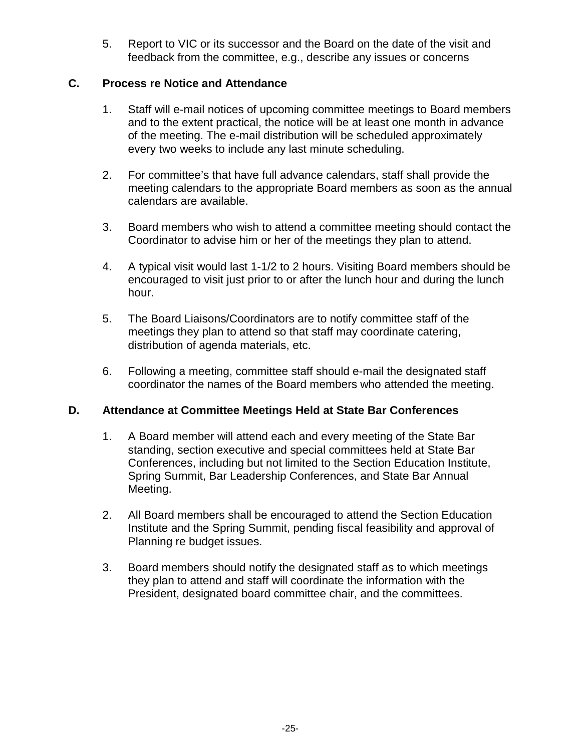5. Report to VIC or its successor and the Board on the date of the visit and feedback from the committee, e.g., describe any issues or concerns

## **C. Process re Notice and Attendance**

- 1. Staff will e-mail notices of upcoming committee meetings to Board members and to the extent practical, the notice will be at least one month in advance of the meeting. The e-mail distribution will be scheduled approximately every two weeks to include any last minute scheduling.
- 2. For committee's that have full advance calendars, staff shall provide the meeting calendars to the appropriate Board members as soon as the annual calendars are available.
- 3. Board members who wish to attend a committee meeting should contact the Coordinator to advise him or her of the meetings they plan to attend.
- 4. A typical visit would last 1-1/2 to 2 hours. Visiting Board members should be encouraged to visit just prior to or after the lunch hour and during the lunch hour.
- 5. The Board Liaisons/Coordinators are to notify committee staff of the meetings they plan to attend so that staff may coordinate catering, distribution of agenda materials, etc.
- 6. Following a meeting, committee staff should e-mail the designated staff coordinator the names of the Board members who attended the meeting.

#### **D. Attendance at Committee Meetings Held at State Bar Conferences**

- 1. A Board member will attend each and every meeting of the State Bar standing, section executive and special committees held at State Bar Conferences, including but not limited to the Section Education Institute, Spring Summit, Bar Leadership Conferences, and State Bar Annual Meeting.
- 2. All Board members shall be encouraged to attend the Section Education Institute and the Spring Summit, pending fiscal feasibility and approval of Planning re budget issues.
- 3. Board members should notify the designated staff as to which meetings they plan to attend and staff will coordinate the information with the President, designated board committee chair, and the committees.